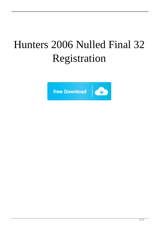## Hunters 2006 Nulled Final 32 Registration